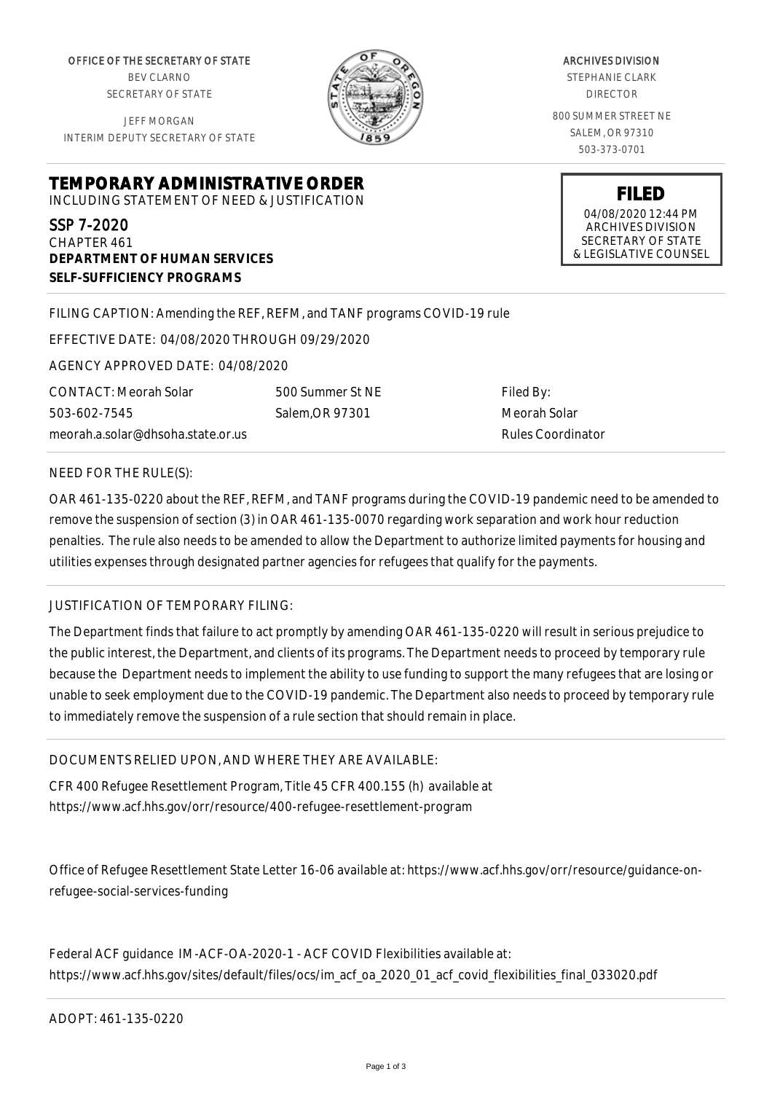OFFICE OF THE SECRETARY OF STATE BEV CLARNO SECRETARY OF STATE

JEFF MORGAN INTERIM DEPUTY SECRETARY OF STATE

**DEPARTMENT OF HUMAN SERVICES**

**SELF-SUFFICIENCY PROGRAMS**



ARCHIVES DIVISION

STEPHANIE CLARK DIRECTOR

800 SUMMER STREET NE SALEM, OR 97310 503-373-0701

> **FILED** 04/08/2020 12:44 PM ARCHIVES DIVISION SECRETARY OF STATE & LEGISLATIVE COUNSEL

FILING CAPTION: Amending the REF, REFM, and TANF programs COVID-19 rule

EFFECTIVE DATE: 04/08/2020 THROUGH 09/29/2020

**TEMPORARY ADMINISTRATIVE ORDER** INCLUDING STATEMENT OF NEED & JUSTIFICATION

AGENCY APPROVED DATE: 04/08/2020

CONTACT: Meorah Solar 503-602-7545 meorah.a.solar@dhsoha.state.or.us

500 Summer St NE Salem,OR 97301

Filed By: Meorah Solar Rules Coordinator

## NEED FOR THE RULE(S):

SSP 7-2020 CHAPTER 461

OAR 461-135-0220 about the REF, REFM, and TANF programs during the COVID-19 pandemic need to be amended to remove the suspension of section (3) in OAR 461-135-0070 regarding work separation and work hour reduction penalties. The rule also needs to be amended to allow the Department to authorize limited payments for housing and utilities expenses through designated partner agencies for refugees that qualify for the payments.

## JUSTIFICATION OF TEMPORARY FILING:

The Department finds that failure to act promptly by amending OAR 461-135-0220 will result in serious prejudice to the public interest, the Department, and clients of its programs. The Department needs to proceed by temporary rule because the Department needs to implement the ability to use funding to support the many refugees that are losing or unable to seek employment due to the COVID-19 pandemic. The Department also needs to proceed by temporary rule to immediately remove the suspension of a rule section that should remain in place.

DOCUMENTS RELIED UPON, AND WHERE THEY ARE AVAILABLE:

CFR 400 Refugee Resettlement Program, Title 45 CFR 400.155 (h) available at https://www.acf.hhs.gov/orr/resource/400-refugee-resettlement-program

Office of Refugee Resettlement State Letter 16-06 available at: https://www.acf.hhs.gov/orr/resource/guidance-onrefugee-social-services-funding

Federal ACF guidance IM-ACF-OA-2020-1 - ACF COVID Flexibilities available at: https://www.acf.hhs.gov/sites/default/files/ocs/im\_acf\_oa\_2020\_01\_acf\_covid\_flexibilities\_final\_033020.pdf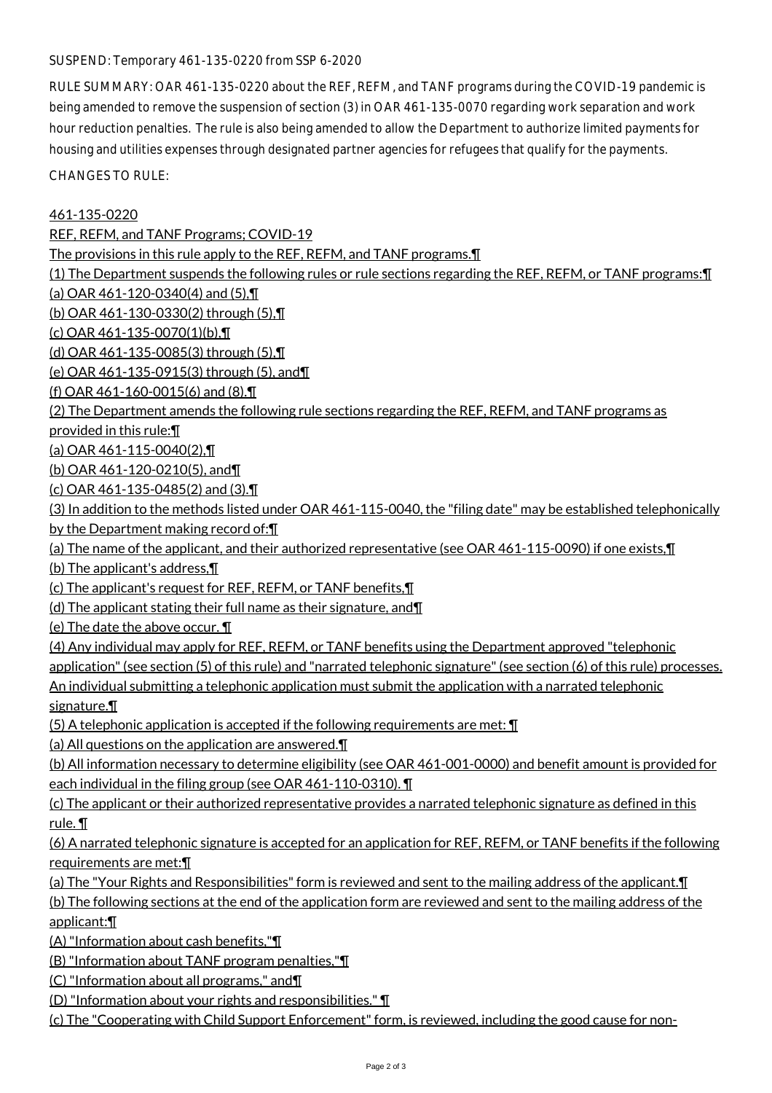## SUSPEND: Temporary 461-135-0220 from SSP 6-2020

RULE SUMMARY: OAR 461-135-0220 about the REF, REFM, and TANF programs during the COVID-19 pandemic is being amended to remove the suspension of section (3) in OAR 461-135-0070 regarding work separation and work hour reduction penalties. The rule is also being amended to allow the Department to authorize limited payments for housing and utilities expenses through designated partner agencies for refugees that qualify for the payments.

CHANGES TO RULE:

461-135-0220

REF, REFM, and TANF Programs; COVID-19

The provisions in this rule apply to the REF, REFM, and TANF programs.¶

(1) The Department suspends the following rules or rule sections regarding the REF, REFM, or TANF programs:¶

(a) OAR  $461 - 120 - 0340(4)$  and  $(5)$ ,  $\P$ 

(b) OAR 461-130-0330(2) through (5),¶

(c) OAR 461-135-0070(1)(b),¶

(d) OAR 461-135-0085(3) through (5),¶

(e) OAR 461-135-0915(3) through (5), and¶

(f) OAR 461-160-0015(6) and (8).¶

(2) The Department amends the following rule sections regarding the REF, REFM, and TANF programs as

provided in this rule:¶

(a) OAR 461-115-0040(2),¶

(b) OAR 461-120-0210(5), and¶

(c) OAR 461-135-0485(2) and (3).¶

(3) In addition to the methods listed under OAR 461-115-0040, the "filing date" may be established telephonically by the Department making record of:¶

(a) The name of the applicant, and their authorized representative (see OAR 461-115-0090) if one exists,¶

(b) The applicant's address,¶

(c) The applicant's request for REF, REFM, or TANF benefits,¶

(d) The applicant stating their full name as their signature, and¶

(e) The date the above occur. ¶

(4) Any individual may apply for REF, REFM, or TANF benefits using the Department approved "telephonic

application" (see section (5) of this rule) and "narrated telephonic signature" (see section (6) of this rule) processes.

An individual submitting a telephonic application must submit the application with a narrated telephonic signature.¶

(5) A telephonic application is accepted if the following requirements are met: ¶

(a) All questions on the application are answered.¶

(b) All information necessary to determine eligibility (see OAR 461-001-0000) and benefit amount is provided for each individual in the filing group (see OAR 461-110-0310). ¶

(c) The applicant or their authorized representative provides a narrated telephonic signature as defined in this rule. ¶

(6) A narrated telephonic signature is accepted for an application for REF, REFM, or TANF benefits if the following requirements are met:¶

(a) The "Your Rights and Responsibilities" form is reviewed and sent to the mailing address of the applicant.¶

(b) The following sections at the end of the application form are reviewed and sent to the mailing address of the applicant:¶

(A) "Information about cash benefits,"¶

(B) "Information about TANF program penalties,"¶

(C) "Information about all programs," and¶

(D) "Information about your rights and responsibilities." ¶

(c) The "Cooperating with Child Support Enforcement" form, is reviewed, including the good cause for non-